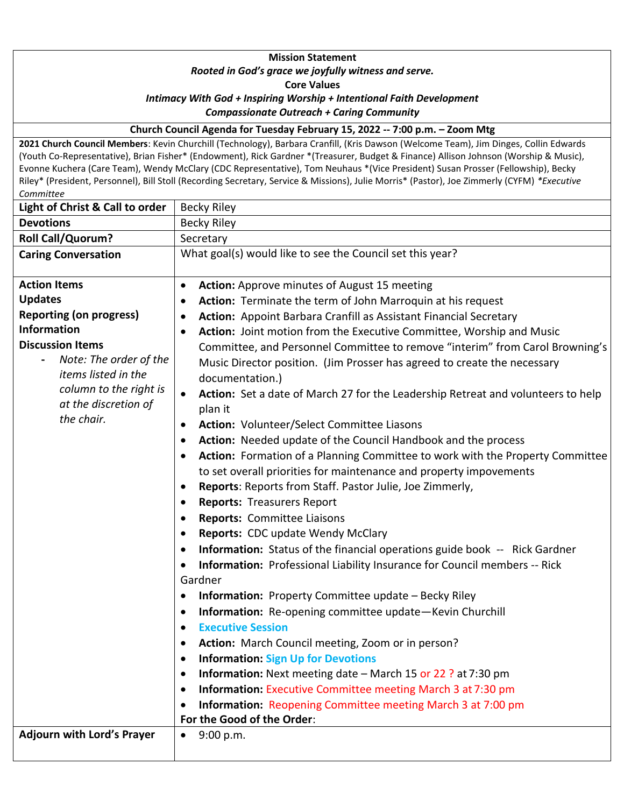## **Mission Statement** *Rooted in God's grace we joyfully witness and serve.* **Core Values** *Intimacy With God + Inspiring Worship + Intentional Faith Development Compassionate Outreach + Caring Community*

**Church Council Agenda for Tuesday February 15, 2022 -- 7:00 p.m. – Zoom Mtg** 

**2021 Church Council Members**: Kevin Churchill (Technology), Barbara Cranfill, (Kris Dawson (Welcome Team), Jim Dinges, Collin Edwards (Youth Co-Representative), Brian Fisher\* (Endowment), Rick Gardner \*(Treasurer, Budget & Finance) Allison Johnson (Worship & Music), Evonne Kuchera (Care Team), Wendy McClary (CDC Representative), Tom Neuhaus \*(Vice President) Susan Prosser (Fellowship), Becky Riley\* (President, Personnel), Bill Stoll (Recording Secretary, Service & Missions), Julie Morris\* (Pastor), Joe Zimmerly (CYFM) *\*Executive Committee*

| Light of Christ & Call to order   | <b>Becky Riley</b>                                                                            |  |  |
|-----------------------------------|-----------------------------------------------------------------------------------------------|--|--|
| <b>Devotions</b>                  | <b>Becky Riley</b>                                                                            |  |  |
| <b>Roll Call/Quorum?</b>          | Secretary                                                                                     |  |  |
| <b>Caring Conversation</b>        | What goal(s) would like to see the Council set this year?                                     |  |  |
| <b>Action Items</b>               | Action: Approve minutes of August 15 meeting<br>$\bullet$                                     |  |  |
| <b>Updates</b>                    | Action: Terminate the term of John Marroquin at his request                                   |  |  |
| <b>Reporting (on progress)</b>    | Action: Appoint Barbara Cranfill as Assistant Financial Secretary                             |  |  |
| <b>Information</b>                | Action: Joint motion from the Executive Committee, Worship and Music                          |  |  |
| <b>Discussion Items</b>           | Committee, and Personnel Committee to remove "interim" from Carol Browning's                  |  |  |
| Note: The order of the            | Music Director position. (Jim Prosser has agreed to create the necessary                      |  |  |
| items listed in the               | documentation.)                                                                               |  |  |
| column to the right is            | Action: Set a date of March 27 for the Leadership Retreat and volunteers to help<br>$\bullet$ |  |  |
| at the discretion of              | plan it                                                                                       |  |  |
| the chair.                        | Action: Volunteer/Select Committee Liasons                                                    |  |  |
|                                   | Action: Needed update of the Council Handbook and the process                                 |  |  |
|                                   | Action: Formation of a Planning Committee to work with the Property Committee                 |  |  |
|                                   | to set overall priorities for maintenance and property impovements                            |  |  |
|                                   | Reports: Reports from Staff. Pastor Julie, Joe Zimmerly,<br>٠                                 |  |  |
|                                   | <b>Reports: Treasurers Report</b>                                                             |  |  |
|                                   | Reports: Committee Liaisons                                                                   |  |  |
|                                   | <b>Reports: CDC update Wendy McClary</b><br>$\bullet$                                         |  |  |
|                                   | Information: Status of the financial operations guide book -- Rick Gardner                    |  |  |
|                                   | Information: Professional Liability Insurance for Council members -- Rick<br>$\bullet$        |  |  |
|                                   | Gardner                                                                                       |  |  |
|                                   | <b>Information:</b> Property Committee update - Becky Riley<br>$\bullet$                      |  |  |
|                                   | Information: Re-opening committee update-Kevin Churchill                                      |  |  |
|                                   | <b>Executive Session</b>                                                                      |  |  |
|                                   | Action: March Council meeting, Zoom or in person?                                             |  |  |
|                                   | <b>Information: Sign Up for Devotions</b>                                                     |  |  |
|                                   | <b>Information:</b> Next meeting date – March 15 or 22 ? at 7:30 pm<br>$\bullet$              |  |  |
|                                   | <b>Information:</b> Executive Committee meeting March 3 at 7:30 pm<br>$\bullet$               |  |  |
|                                   | Information: Reopening Committee meeting March 3 at 7:00 pm<br>٠                              |  |  |
|                                   | For the Good of the Order:                                                                    |  |  |
| <b>Adjourn with Lord's Prayer</b> | 9:00 p.m.<br>$\bullet$                                                                        |  |  |
|                                   |                                                                                               |  |  |